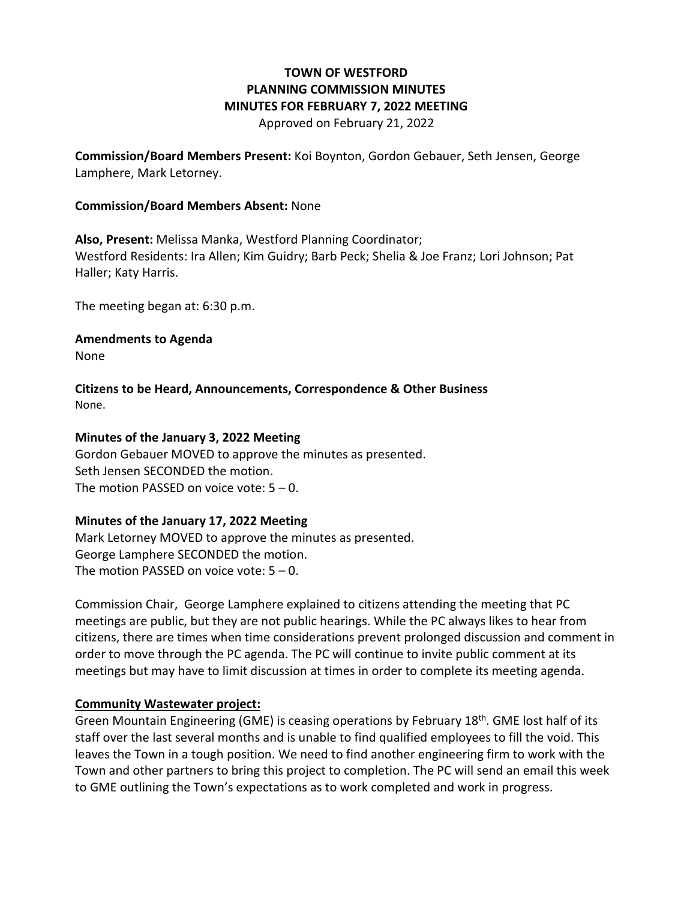# **TOWN OF WESTFORD PLANNING COMMISSION MINUTES MINUTES FOR FEBRUARY 7, 2022 MEETING**

Approved on February 21, 2022

**Commission/Board Members Present:** Koi Boynton, Gordon Gebauer, Seth Jensen, George Lamphere, Mark Letorney.

#### **Commission/Board Members Absent:** None

**Also, Present:** Melissa Manka, Westford Planning Coordinator; Westford Residents: Ira Allen; Kim Guidry; Barb Peck; Shelia & Joe Franz; Lori Johnson; Pat Haller; Katy Harris.

The meeting began at: 6:30 p.m.

**Amendments to Agenda**

None

**Citizens to be Heard, Announcements, Correspondence & Other Business** None.

### **Minutes of the January 3, 2022 Meeting**

Gordon Gebauer MOVED to approve the minutes as presented. Seth Jensen SECONDED the motion. The motion PASSED on voice vote:  $5 - 0$ .

### **Minutes of the January 17, 2022 Meeting**

Mark Letorney MOVED to approve the minutes as presented. George Lamphere SECONDED the motion. The motion PASSED on voice vote:  $5 - 0$ .

Commission Chair, George Lamphere explained to citizens attending the meeting that PC meetings are public, but they are not public hearings. While the PC always likes to hear from citizens, there are times when time considerations prevent prolonged discussion and comment in order to move through the PC agenda. The PC will continue to invite public comment at its meetings but may have to limit discussion at times in order to complete its meeting agenda.

### **Community Wastewater project:**

Green Mountain Engineering (GME) is ceasing operations by February 18<sup>th</sup>. GME lost half of its staff over the last several months and is unable to find qualified employees to fill the void. This leaves the Town in a tough position. We need to find another engineering firm to work with the Town and other partners to bring this project to completion. The PC will send an email this week to GME outlining the Town's expectations as to work completed and work in progress.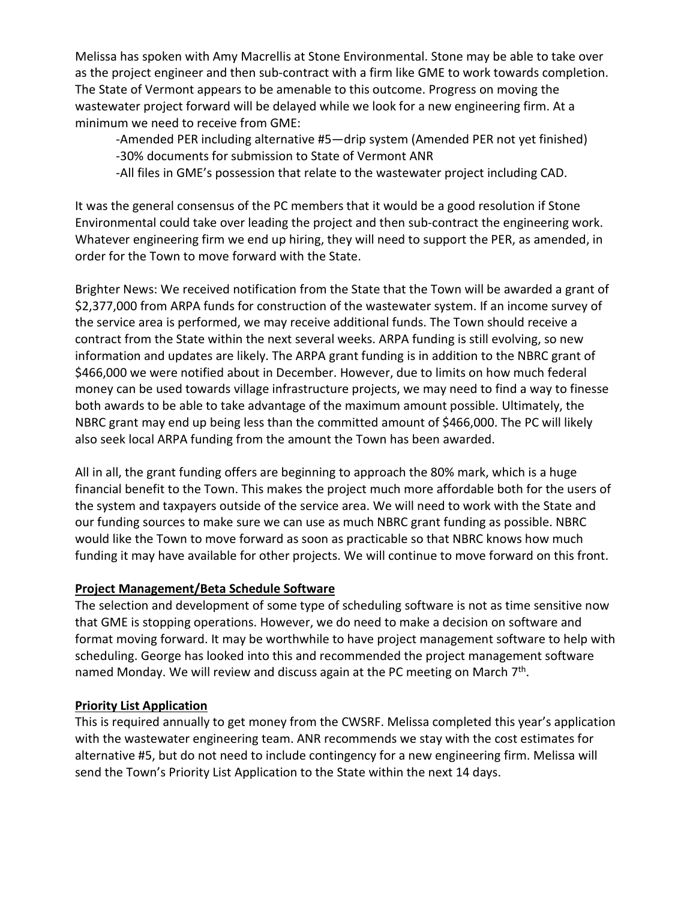Melissa has spoken with Amy Macrellis at Stone Environmental. Stone may be able to take over as the project engineer and then sub-contract with a firm like GME to work towards completion. The State of Vermont appears to be amenable to this outcome. Progress on moving the wastewater project forward will be delayed while we look for a new engineering firm. At a minimum we need to receive from GME:

-Amended PER including alternative #5—drip system (Amended PER not yet finished) -30% documents for submission to State of Vermont ANR

-All files in GME's possession that relate to the wastewater project including CAD.

It was the general consensus of the PC members that it would be a good resolution if Stone Environmental could take over leading the project and then sub-contract the engineering work. Whatever engineering firm we end up hiring, they will need to support the PER, as amended, in order for the Town to move forward with the State.

Brighter News: We received notification from the State that the Town will be awarded a grant of \$2,377,000 from ARPA funds for construction of the wastewater system. If an income survey of the service area is performed, we may receive additional funds. The Town should receive a contract from the State within the next several weeks. ARPA funding is still evolving, so new information and updates are likely. The ARPA grant funding is in addition to the NBRC grant of \$466,000 we were notified about in December. However, due to limits on how much federal money can be used towards village infrastructure projects, we may need to find a way to finesse both awards to be able to take advantage of the maximum amount possible. Ultimately, the NBRC grant may end up being less than the committed amount of \$466,000. The PC will likely also seek local ARPA funding from the amount the Town has been awarded.

All in all, the grant funding offers are beginning to approach the 80% mark, which is a huge financial benefit to the Town. This makes the project much more affordable both for the users of the system and taxpayers outside of the service area. We will need to work with the State and our funding sources to make sure we can use as much NBRC grant funding as possible. NBRC would like the Town to move forward as soon as practicable so that NBRC knows how much funding it may have available for other projects. We will continue to move forward on this front.

# **Project Management/Beta Schedule Software**

The selection and development of some type of scheduling software is not as time sensitive now that GME is stopping operations. However, we do need to make a decision on software and format moving forward. It may be worthwhile to have project management software to help with scheduling. George has looked into this and recommended the project management software named Monday. We will review and discuss again at the PC meeting on March 7<sup>th</sup>.

# **Priority List Application**

This is required annually to get money from the CWSRF. Melissa completed this year's application with the wastewater engineering team. ANR recommends we stay with the cost estimates for alternative #5, but do not need to include contingency for a new engineering firm. Melissa will send the Town's Priority List Application to the State within the next 14 days.